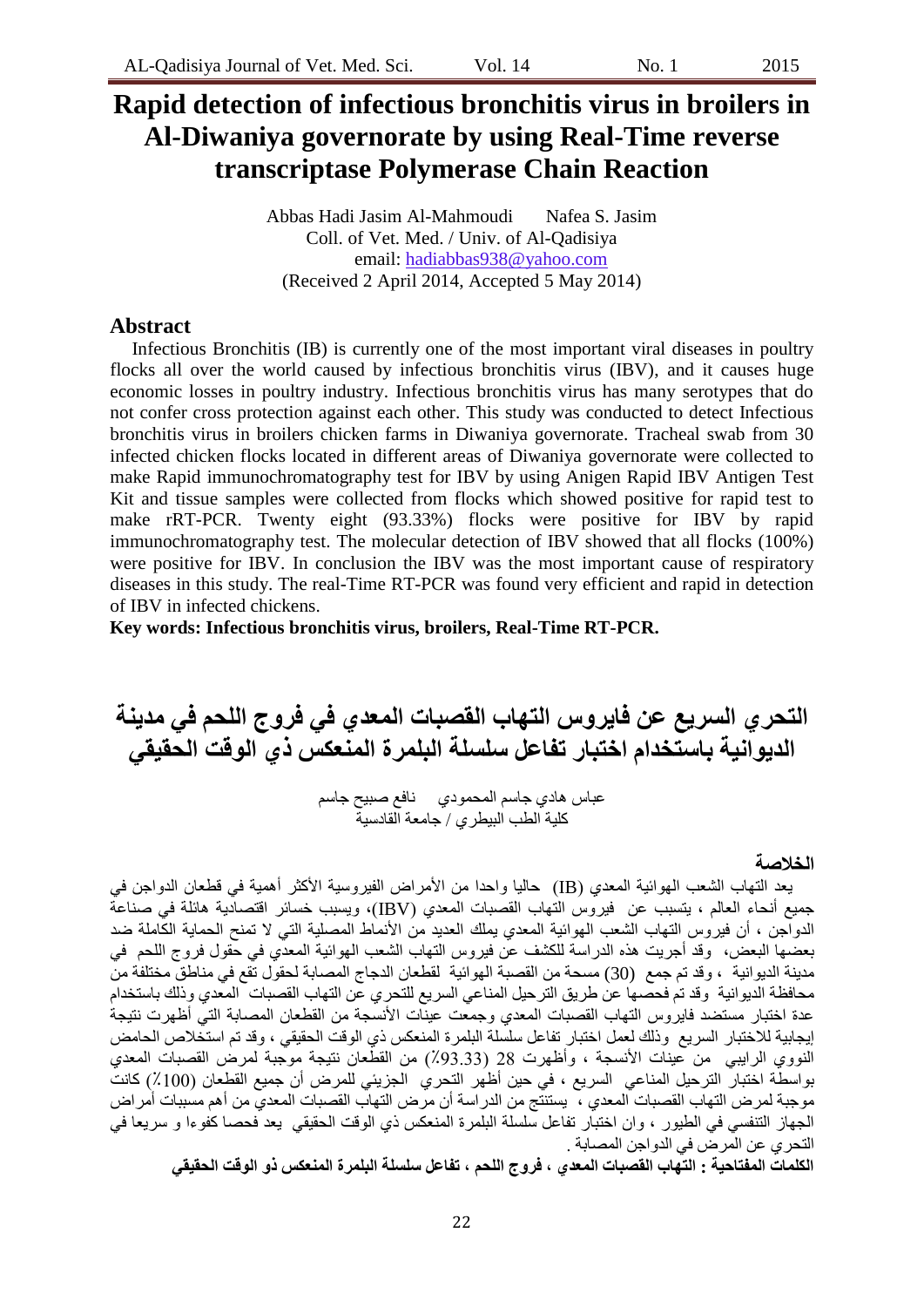# **Rapid detection of infectious bronchitis virus in broilers in Al-Diwaniya governorate by using Real-Time reverse transcriptase Polymerase Chain Reaction**

Abbas Hadi Jasim Al-Mahmoudi Nafea S. Jasim Coll. of Vet. Med. / Univ. of Al-Qadisiya email: hadiabbas938@yahoo.com (Received 2 April 2014, Accepted 5 May 2014)

#### **Abstract**

Infectious Bronchitis (IB) is currently one of the most important viral diseases in poultry flocks all over the world caused by infectious bronchitis virus (IBV), and it causes huge economic losses in poultry industry. Infectious bronchitis virus has many serotypes that do not confer cross protection against each other. This study was conducted to detect Infectious bronchitis virus in broilers chicken farms in Diwaniya governorate. Tracheal swab from 30 infected chicken flocks located in different areas of Diwaniya governorate were collected to make Rapid immunochromatography test for IBV by using Anigen Rapid IBV Antigen Test Kit and tissue samples were collected from flocks which showed positive for rapid test to make rRT-PCR. Twenty eight (93.33%) flocks were positive for IBV by rapid immunochromatography test. The molecular detection of IBV showed that all flocks (100%) were positive for IBV. In conclusion the IBV was the most important cause of respiratory diseases in this study. The real-Time RT-PCR was found very efficient and rapid in detection of IBV in infected chickens.

**Key words: Infectious bronchitis virus, broilers, Real-Time RT-PCR.** 

**الخحري السريع عن فايروس الخهاب القصباث الوعدي في فروج اللحن في هدينت الديىانيت باسخخدام اخخبار حفاعل سلسلت البلورة الونعكس ذي الىقج الحقيقي** عباس هادي جاسم المحمودي نافع صبيح جاسم كلية الطب البيطري / جامعة القادسية

#### **الخالصت**

يعد التهاب الشعب الهوائية المعدي (IB) حاليا واحدا من الأمراض الفيروسية الأكثر أهمية في قطعان الدواجن في جميع أنحاء العالم ، يتسبب عن فيروس التهاب القصبات المعدي (IBV)، ويسبب خسائر اقتصادية هائلة في صناعة الدواجن ، أن فيروس النهاب الشعب الهوائية المعدي يملك العديد من الأنماط المصلية التي لا تمنح الحماية الكاملة ضد بعضها البعض، وقد أجريت هذه الدراسة للكشف عن فيروس النهاب الشعب الهوائية المعدي في حقول فروج اللحم في مدينة الديوانية ، وقد تم جمع (30) مسحة من القصبة الهوائية لقطعان الدجاج المصابة لحقول تقع في مناطق مختلفة من محافظة الديوانية وقد تم فحصُّها عن طريق الترحيل المناعي السريع للتحري عِن التهاب القصبات المعدي وذلك باستخدام عدة اختبار مستضد فابروس التهاب القصبات المعدي وجمعت عينات الأنسجة من القطعان المصـابة التي أظهرت نتيجة إيجابية للاختبار السريع وذلك لعمل اختبار تفاعل سلسلة البلمرة المنعكس ذي الوقت الحقيقي ، وقد تم استخلاص الحامض النووي الرايبي من عينات الأنسجة ، وأظهرت 28 (93.33٪) من القطعان نتيجة موجبة لمرض القصبات المعدي بواسطة اختبار الترحيل المناعي السريع ، في حين أظهر التحري الجزيئي للمرض أن جميع القطعان (100٪) كانت موجبة لمر ض التهاب القصبات المعدي ، ۖ يستنتج من الدر اسة أن مرض التهاب القصبات المعدي من أهم مسببات أمر اض الجهاز التنفسي في الطيور ، وان اختبار تفاعل سلسلة البلمرة المنعكس ذي الوقت الحقيقي يعد فحصبا كفوءا و سريعا في التحري عن المرض في الدواجن المصـابة .

**الكلواث الوفخاحيت : الخهاب القصباث الوعدي ، فروج اللحن ، حفاعل سلسلت البلورة الونعكس ذو الىقج الحقيقي**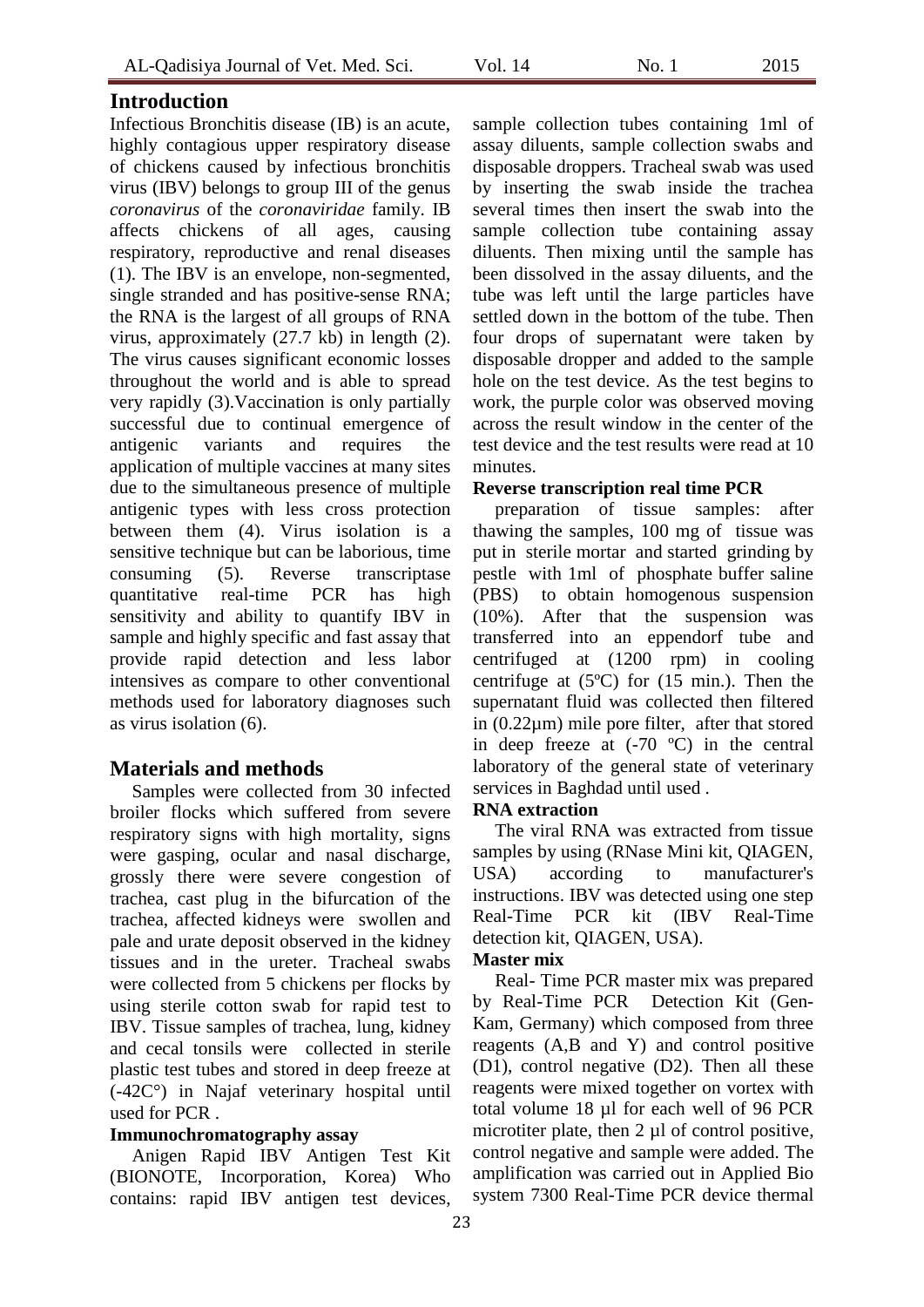# **Introduction**

Infectious Bronchitis disease (IB) is an acute, highly contagious upper respiratory disease of chickens caused by infectious bronchitis virus (IBV) belongs to group III of the genus *coronavirus* of the *coronaviridae* family. IB affects chickens of all ages, causing respiratory, reproductive and renal diseases (1). The IBV is an envelope, non-segmented, single stranded and has positive-sense RNA; the RNA is the largest of all groups of RNA virus, approximately (27.7 kb) in length (2). The virus causes significant economic losses throughout the world and is able to spread very rapidly (3).Vaccination is only partially successful due to continual emergence of antigenic variants and requires the application of multiple vaccines at many sites due to the simultaneous presence of multiple antigenic types with less cross protection between them (4). Virus isolation is a sensitive technique but can be laborious, time consuming (5). Reverse transcriptase quantitative real-time PCR has high sensitivity and ability to quantify IBV in sample and highly specific and fast assay that provide rapid detection and less labor intensives as compare to other conventional methods used for laboratory diagnoses such as virus isolation (6).

# **Materials and methods**

Samples were collected from 30 infected broiler flocks which suffered from severe respiratory signs with high mortality, signs were gasping, ocular and nasal discharge, grossly there were severe congestion of trachea, cast plug in the bifurcation of the trachea, affected kidneys were swollen and pale and urate deposit observed in the kidney tissues and in the ureter. Tracheal swabs were collected from 5 chickens per flocks by using sterile cotton swab for rapid test to IBV. Tissue samples of trachea, lung, kidney and cecal tonsils were collected in sterile plastic test tubes and stored in deep freeze at (-42C°) in Najaf veterinary hospital until used for PCR .

## **Immunochromatography assay**

Anigen Rapid IBV Antigen Test Kit (BIONOTE, Incorporation, Korea) Who contains: rapid IBV antigen test devices, sample collection tubes containing 1ml of assay diluents, sample collection swabs and disposable droppers. Tracheal swab was used by inserting the swab inside the trachea several times then insert the swab into the sample collection tube containing assay diluents. Then mixing until the sample has been dissolved in the assay diluents, and the tube was left until the large particles have settled down in the bottom of the tube. Then four drops of supernatant were taken by disposable dropper and added to the sample hole on the test device. As the test begins to work, the purple color was observed moving across the result window in the center of the test device and the test results were read at 10 minutes.

## **Reverse transcription real time PCR**

preparation of tissue samples: after thawing the samples, 100 mg of tissue was put in sterile mortar and started grinding by pestle with 1ml of phosphate buffer saline (PBS) to obtain homogenous suspension (10%). After that the suspension was transferred into an eppendorf tube and centrifuged at (1200 rpm) in cooling centrifuge at (5ºC) for (15 min.). Then the supernatant fluid was collected then filtered in (0.22µm) mile pore filter, after that stored in deep freeze at  $(-70 °C)$  in the central laboratory of the general state of veterinary services in Baghdad until used .

## **RNA extraction**

The viral RNA was extracted from tissue samples by using (RNase Mini kit, QIAGEN, USA) according to manufacturer's instructions. IBV was detected using one step Real-Time PCR kit (IBV Real-Time detection kit, QIAGEN, USA).

## **Master mix**

Real- Time PCR master mix was prepared by Real-Time PCR Detection Kit (Gen-Kam, Germany) which composed from three reagents (A,B and Y) and control positive (D1), control negative (D2). Then all these reagents were mixed together on vortex with total volume 18 µl for each well of 96 PCR microtiter plate, then 2 µl of control positive, control negative and sample were added. The amplification was carried out in Applied Bio system 7300 Real-Time PCR device thermal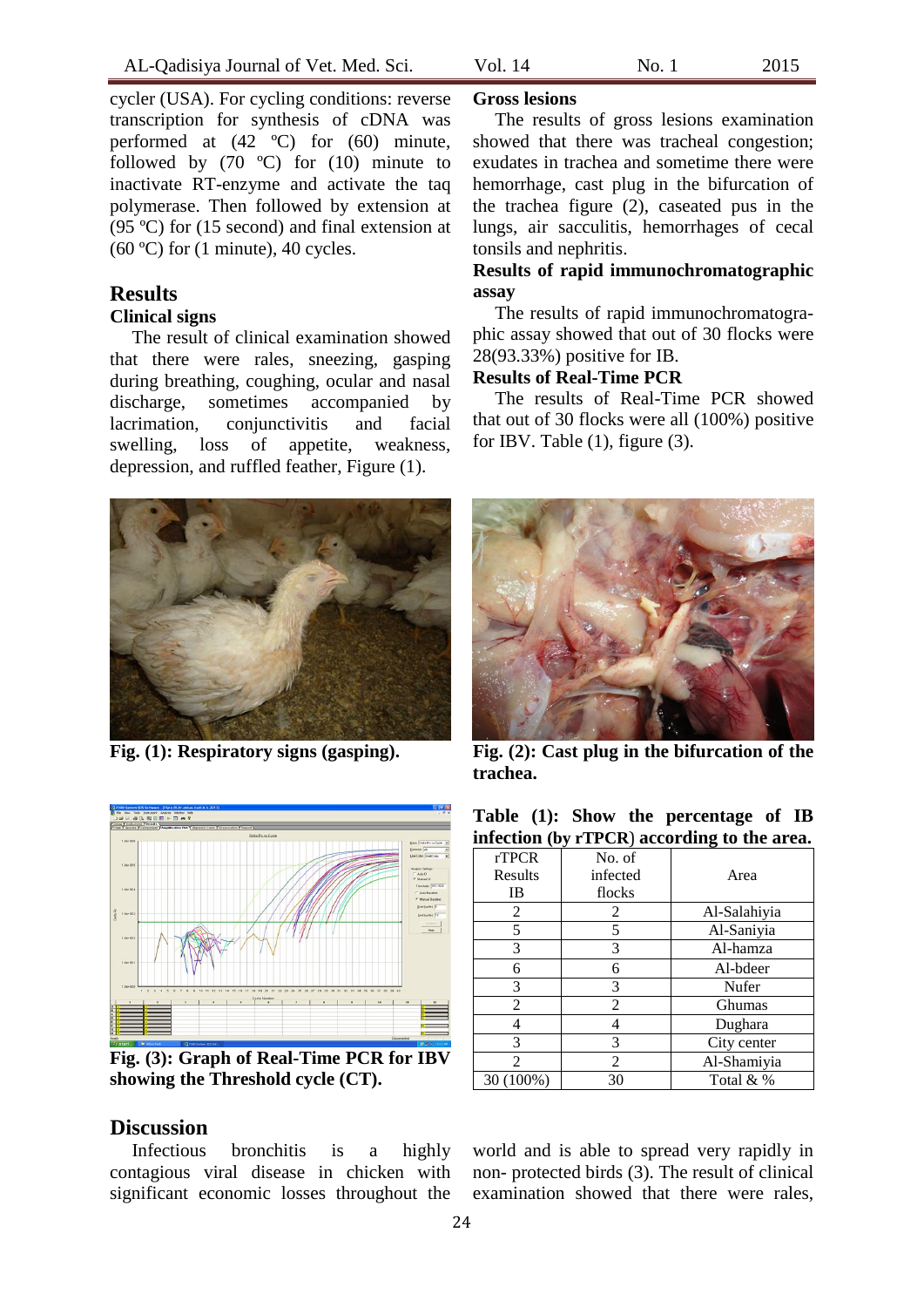cycler (USA). For cycling conditions: reverse transcription for synthesis of cDNA was performed at  $(42 \text{ °C})$  for  $(60)$  minute, followed by  $(70 °C)$  for  $(10)$  minute to inactivate RT-enzyme and activate the taq polymerase. Then followed by extension at (95 ºC) for (15 second) and final extension at  $(60 °C)$  for  $(1 \text{ minute})$ , 40 cycles.

## **Results**

## **Clinical signs**

The result of clinical examination showed that there were rales, sneezing, gasping during breathing, coughing, ocular and nasal discharge, sometimes accompanied by lacrimation, conjunctivitis and facial swelling, loss of appetite, weakness, depression, and ruffled feather, Figure (1).

#### **Gross lesions**

The results of gross lesions examination showed that there was tracheal congestion; exudates in trachea and sometime there were hemorrhage, cast plug in the bifurcation of the trachea figure (2), caseated pus in the lungs, air sacculitis, hemorrhages of cecal tonsils and nephritis.

## **Results of rapid immunochromatographic assay**

The results of rapid immunochromatographic assay showed that out of 30 flocks were 28(93.33%) positive for IB.

## **Results of Real-Time PCR**

The results of Real-Time PCR showed that out of 30 flocks were all (100%) positive for IBV. Table (1), figure (3).





**Fig. (3): Graph of Real-Time PCR for IBV showing the Threshold cycle (CT).**

# **Discussion**

Infectious bronchitis is a highly contagious viral disease in chicken with significant economic losses throughout the



**Fig. (1): Respiratory signs (gasping). Fig. (2): Cast plug in the bifurcation of the trachea.**

|                                             |  |  |  | Table (1): Show the percentage of IB |  |  |  |
|---------------------------------------------|--|--|--|--------------------------------------|--|--|--|
| infection (by rTPCR) according to the area. |  |  |  |                                      |  |  |  |

| <b>rTPCR</b>   | No. of         |               |  |  |  |
|----------------|----------------|---------------|--|--|--|
| Results        | infected       | Area          |  |  |  |
| IB             | flocks         |               |  |  |  |
| 2              | 2              | Al-Salahiyia  |  |  |  |
| 5              | 5              | Al-Saniyia    |  |  |  |
| 3              | 3              | Al-hamza      |  |  |  |
| 6              | 6              | Al-bdeer      |  |  |  |
| 3              | 3              | Nufer         |  |  |  |
| 2              | $\overline{c}$ | <b>Ghumas</b> |  |  |  |
| 4              | 4              | Dughara       |  |  |  |
| 3              | 3              | City center   |  |  |  |
| $\mathfrak{D}$ | $\overline{c}$ | Al-Shamiyia   |  |  |  |
| 30 (100%)      | 30             | Total & %     |  |  |  |

world and is able to spread very rapidly in non- protected birds (3). The result of clinical examination showed that there were rales,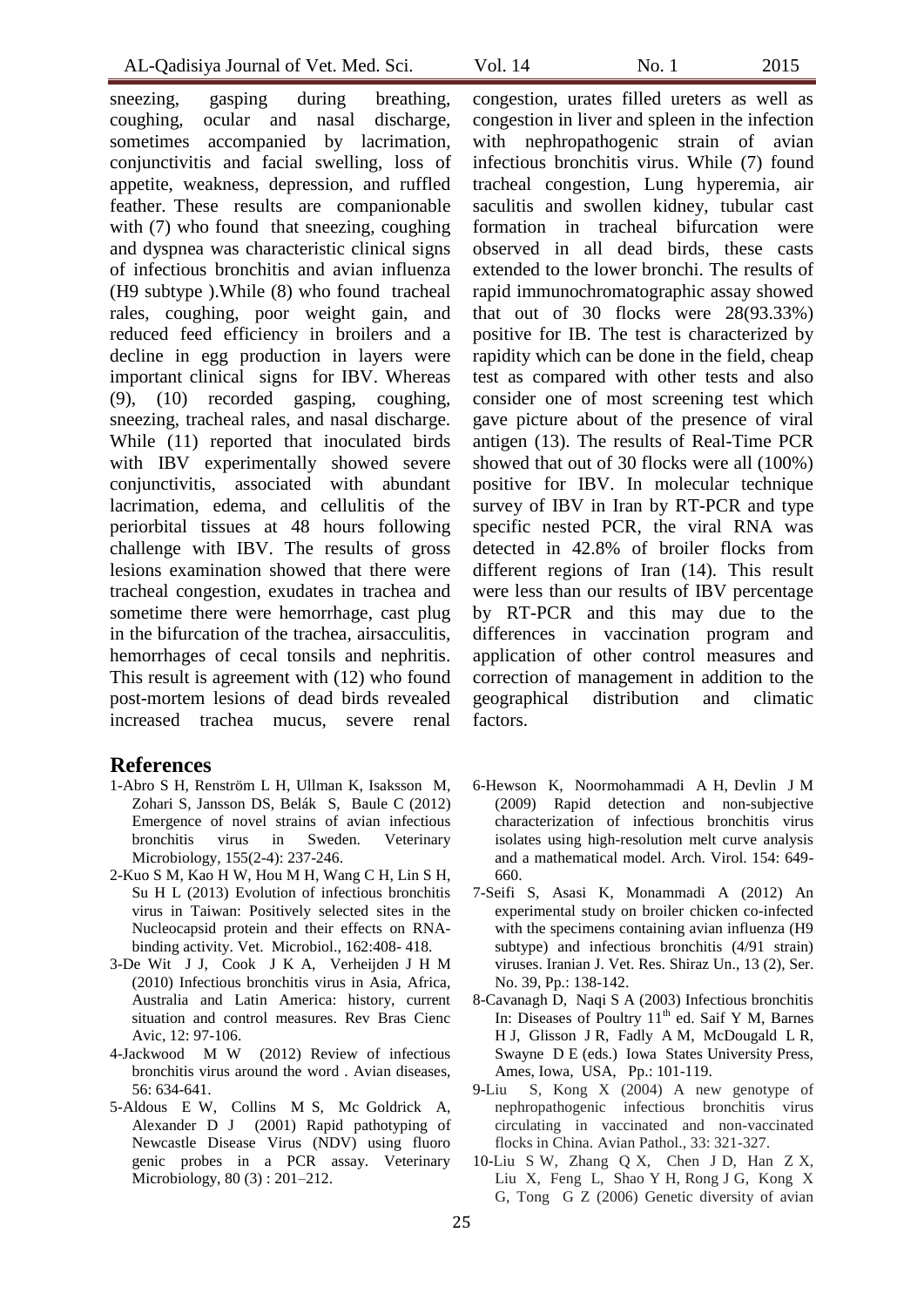sneezing, gasping during breathing, coughing, ocular and nasal discharge, sometimes accompanied by lacrimation, conjunctivitis and facial swelling, loss of appetite, weakness, depression, and ruffled feather. These results are companionable with (7) who found that sneezing, coughing and dyspnea was characteristic clinical signs of infectious bronchitis and avian influenza (H9 subtype ).While (8) who found tracheal rales, coughing, poor weight gain, and reduced feed efficiency in broilers and a decline in egg production in layers were important clinical signs for IBV. Whereas (9), (10) recorded gasping, coughing, sneezing, tracheal rales, and nasal discharge. While (11) reported that inoculated birds with IBV experimentally showed severe conjunctivitis, associated with abundant lacrimation, edema, and cellulitis of the periorbital tissues at 48 hours following challenge with IBV. The results of gross lesions examination showed that there were tracheal congestion, exudates in trachea and sometime there were hemorrhage, cast plug in the bifurcation of the trachea, airsacculitis, hemorrhages of cecal tonsils and nephritis. This result is agreement with (12) who found post-mortem lesions of dead birds revealed increased trachea mucus, severe renal

#### **References**

- 1-Abro S H, Renström L H, Ullman K, Isaksson M, Zohari S, Jansson DS, Belák S, Baule C (2012) Emergence of novel strains of avian infectious bronchitis virus in Sweden. Veterinary Microbiology*,* 155(2-4): 237-246.
- 2-Kuo S M, Kao H W, Hou M H, Wang C H, Lin S H, Su H L (2013) Evolution of infectious bronchitis virus in Taiwan: Positively selected sites in the Nucleocapsid protein and their effects on RNAbinding activity. Vet. Microbiol., 162:408- 418.
- 3-De Wit J J, Cook J K A, Verheijden J H M (2010) Infectious bronchitis virus in Asia, Africa, Australia and Latin America: history, current situation and control measures. Rev Bras Cienc Avic, 12: 97-106.
- 4-Jackwood M W (2012) Review of infectious bronchitis virus around the word . Avian diseases, 56: 634-641.
- 5-Aldous E W, Collins M S, Mc Goldrick A, Alexander D J (2001) Rapid pathotyping of Newcastle Disease Virus (NDV) using fluoro genic probes in a PCR assay. Veterinary Microbiology, 80 (3) : 201–212.

congestion, urates filled ureters as well as congestion in liver and spleen in the infection with nephropathogenic strain of avian infectious bronchitis virus. While (7) found tracheal congestion, Lung hyperemia, air saculitis and swollen kidney, tubular cast formation in tracheal bifurcation were observed in all dead birds, these casts extended to the lower bronchi. The results of rapid immunochromatographic assay showed that out of 30 flocks were 28(93.33%) positive for IB. The test is characterized by rapidity which can be done in the field, cheap test as compared with other tests and also consider one of most screening test which gave picture about of the presence of viral antigen (13). The results of Real-Time PCR showed that out of 30 flocks were all (100%) positive for IBV. In molecular technique survey of IBV in Iran by RT-PCR and type specific nested PCR, the viral RNA was detected in 42.8% of broiler flocks from different regions of Iran (14). This result were less than our results of IBV percentage by RT-PCR and this may due to the differences in vaccination program and application of other control measures and correction of management in addition to the geographical distribution and climatic factors.

- 6-Hewson K, Noormohammadi A H, Devlin J M (2009) Rapid detection and non-subjective characterization of infectious bronchitis virus isolates using high-resolution melt curve analysis and a mathematical model. Arch. Virol. 154: 649- 660.
- 7-Seifi S, Asasi K, Monammadi A (2012) An experimental study on broiler chicken co-infected with the specimens containing avian influenza (H9 subtype) and infectious bronchitis (4/91 strain) viruses. Iranian J. Vet. Res. Shiraz Un., 13 (2), Ser. No. 39, Pp.: 138-142.
- 8-Cavanagh D, Naqi S A (2003) Infectious bronchitis In: Diseases of Poultry  $11<sup>th</sup>$  ed. Saif Y M, Barnes H J, Glisson J R, Fadly A M, McDougald L R, Swayne D E (eds.) Iowa States University Press, Ames, Iowa, USA, Pp.: 101-119.
- 9-Liu S, Kong X (2004) A new genotype of nephropathogenic infectious bronchitis virus circulating in vaccinated and non-vaccinated flocks in China. Avian Pathol., 33: 321-327.
- 10-Liu S W, Zhang Q X, Chen J D, Han Z X, Liu X, Feng L, Shao Y H, Rong J G, Kong X G, Tong G Z (2006) Genetic diversity of avian